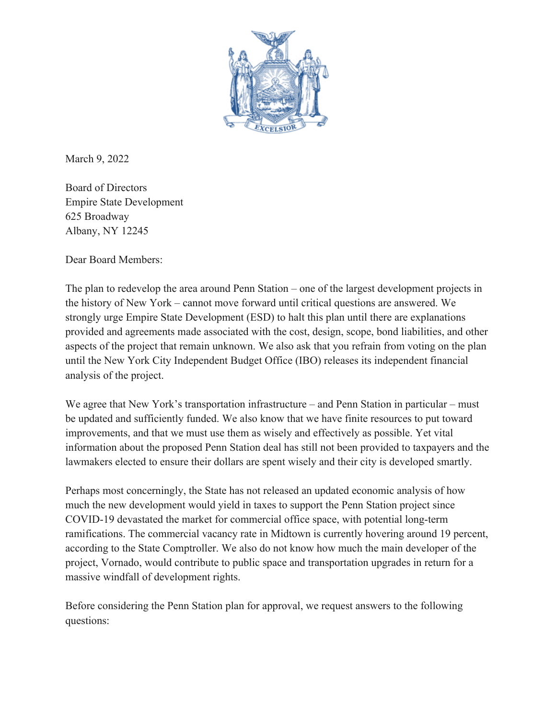

March 9, 2022

Board of Directors Empire State Development 625 Broadway Albany, NY 12245

Dear Board Members:

The plan to redevelop the area around Penn Station – one of the largest development projects in the history of New York – cannot move forward until critical questions are answered. We strongly urge Empire State Development (ESD) to halt this plan until there are explanations provided and agreements made associated with the cost, design, scope, bond liabilities, and other aspects of the project that remain unknown. We also ask that you refrain from voting on the plan until the New York City Independent Budget Office (IBO) releases its independent financial analysis of the project.

We agree that New York's transportation infrastructure – and Penn Station in particular – must be updated and sufficiently funded. We also know that we have finite resources to put toward improvements, and that we must use them as wisely and effectively as possible. Yet vital information about the proposed Penn Station deal has still not been provided to taxpayers and the lawmakers elected to ensure their dollars are spent wisely and their city is developed smartly.

Perhaps most concerningly, the State has not released an updated economic analysis of how much the new development would yield in taxes to support the Penn Station project since COVID-19 devastated the market for commercial office space, with potential long-term ramifications. The commercial vacancy rate in Midtown is currently hovering around 19 percent, according to the State Comptroller. We also do not know how much the main developer of the project, Vornado, would contribute to public space and transportation upgrades in return for a massive windfall of development rights.

Before considering the Penn Station plan for approval, we request answers to the following questions: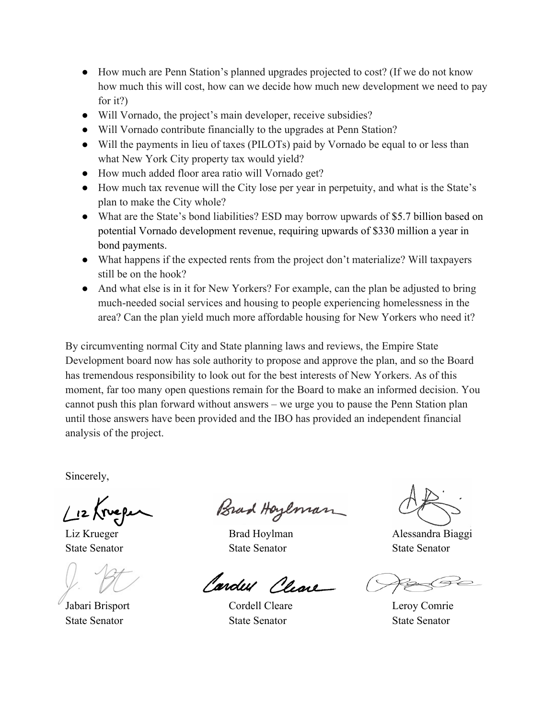- How much are Penn Station's planned upgrades projected to cost? (If we do not know how much this will cost, how can we decide how much new development we need to pay for it?)
- Will Vornado, the project's main developer, receive subsidies?
- Will Vornado contribute financially to the upgrades at Penn Station?
- Will the payments in lieu of taxes (PILOTs) paid by Vornado be equal to or less than what New York City property tax would yield?
- How much added floor area ratio will Vornado get?
- How much tax revenue will the City lose per year in perpetuity, and what is the State's plan to make the City whole?
- What are the State's bond liabilities? ESD may borrow upwards of \$5.7 billion based on potential Vornado development revenue, requiring upwards of \$330 million a year in bond payments.
- What happens if the expected rents from the project don't materialize? Will taxpayers still be on the hook?
- And what else is in it for New Yorkers? For example, can the plan be adjusted to bring much-needed social services and housing to people experiencing homelessness in the area? Can the plan yield much more affordable housing for New Yorkers who need it?

By circumventing normal City and State planning laws and reviews, the Empire State Development board now has sole authority to propose and approve the plan, and so the Board has tremendous responsibility to look out for the best interests of New Yorkers. As of this moment, far too many open questions remain for the Board to make an informed decision. You cannot push this plan forward without answers – we urge you to pause the Penn Station plan until those answers have been provided and the IBO has provided an independent financial analysis of the project.

Sincerely,

 $\mu$  2 (rue pe

State Senator State Senator State Senator

Brad Hoylman

State Senator State Senator State Senator

Cardel Cleare

Jabari Brisport Cordell Cleare Leroy Comrie

Liz Krueger Brad Hoylman Biaggi Alessandra Biaggi